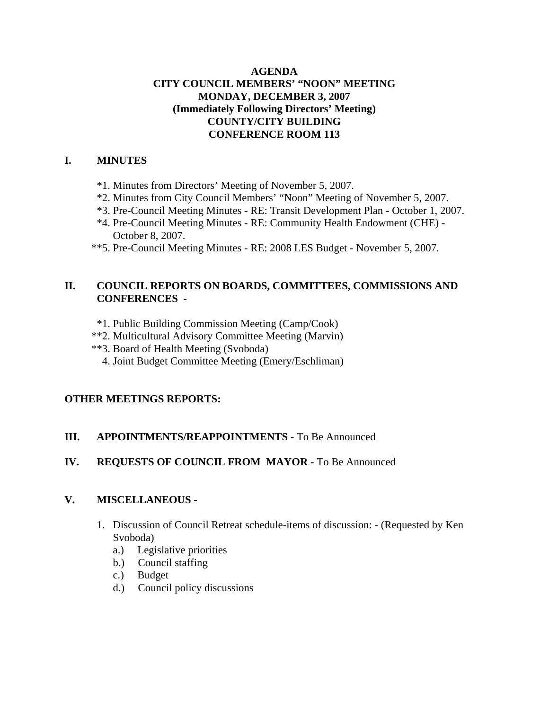## **AGENDA CITY COUNCIL MEMBERS' "NOON" MEETING MONDAY, DECEMBER 3, 2007 (Immediately Following Directors' Meeting) COUNTY/CITY BUILDING CONFERENCE ROOM 113**

## **I. MINUTES**

- \*1. Minutes from Directors' Meeting of November 5, 2007.
- \*2. Minutes from City Council Members' "Noon" Meeting of November 5, 2007.
- \*3. Pre-Council Meeting Minutes RE: Transit Development Plan October 1, 2007.
- \*4. Pre-Council Meeting Minutes RE: Community Health Endowment (CHE) October 8, 2007.
- \*\*5. Pre-Council Meeting Minutes RE: 2008 LES Budget November 5, 2007.

## **II. COUNCIL REPORTS ON BOARDS, COMMITTEES, COMMISSIONS AND CONFERENCES -**

- \*1. Public Building Commission Meeting (Camp/Cook)
- \*\*2. Multicultural Advisory Committee Meeting (Marvin)
- \*\*3. Board of Health Meeting (Svoboda)
	- 4. Joint Budget Committee Meeting (Emery/Eschliman)

## **OTHER MEETINGS REPORTS:**

## **III.** APPOINTMENTS/REAPPOINTMENTS - To Be Announced

## **IV. REQUESTS OF COUNCIL FROM MAYOR -** To Be Announced

## **V. MISCELLANEOUS -**

- 1. Discussion of Council Retreat schedule-items of discussion: (Requested by Ken Svoboda)
	- a.) Legislative priorities
	- b.) Council staffing
	- c.) Budget
	- d.) Council policy discussions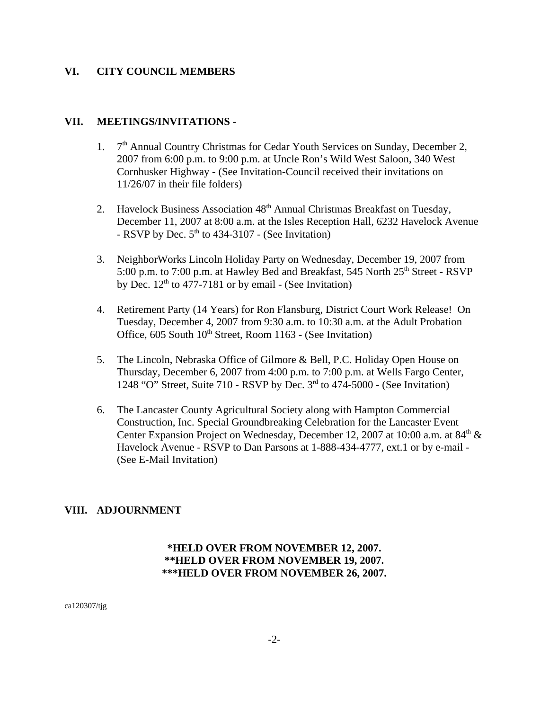#### **VI. CITY COUNCIL MEMBERS**

#### **VII. MEETINGS/INVITATIONS** -

- 1.  $7<sup>th</sup>$  Annual Country Christmas for Cedar Youth Services on Sunday, December 2, 2007 from 6:00 p.m. to 9:00 p.m. at Uncle Ron's Wild West Saloon, 340 West Cornhusker Highway - (See Invitation-Council received their invitations on 11/26/07 in their file folders)
- 2. Havelock Business Association 48<sup>th</sup> Annual Christmas Breakfast on Tuesday, December 11, 2007 at 8:00 a.m. at the Isles Reception Hall, 6232 Havelock Avenue - RSVP by Dec.  $5<sup>th</sup>$  to 434-3107 - (See Invitation)
- 3. NeighborWorks Lincoln Holiday Party on Wednesday, December 19, 2007 from 5:00 p.m. to 7:00 p.m. at Hawley Bed and Breakfast, 545 North 25<sup>th</sup> Street - RSVP by Dec.  $12<sup>th</sup>$  to 477-7181 or by email - (See Invitation)
- 4. Retirement Party (14 Years) for Ron Flansburg, District Court Work Release! On Tuesday, December 4, 2007 from 9:30 a.m. to 10:30 a.m. at the Adult Probation Office,  $605$  South  $10<sup>th</sup>$  Street, Room 1163 - (See Invitation)
- 5. The Lincoln, Nebraska Office of Gilmore & Bell, P.C. Holiday Open House on Thursday, December 6, 2007 from 4:00 p.m. to 7:00 p.m. at Wells Fargo Center, 1248 "O" Street, Suite 710 - RSVP by Dec.  $3<sup>rd</sup>$  to 474-5000 - (See Invitation)
- 6. The Lancaster County Agricultural Society along with Hampton Commercial Construction, Inc. Special Groundbreaking Celebration for the Lancaster Event Center Expansion Project on Wednesday, December 12, 2007 at 10:00 a.m. at  $84<sup>th</sup>$  & Havelock Avenue - RSVP to Dan Parsons at 1-888-434-4777, ext.1 or by e-mail - (See E-Mail Invitation)

#### **VIII. ADJOURNMENT**

## **\*HELD OVER FROM NOVEMBER 12, 2007. \*\*HELD OVER FROM NOVEMBER 19, 2007. \*\*\*HELD OVER FROM NOVEMBER 26, 2007.**

ca120307/tjg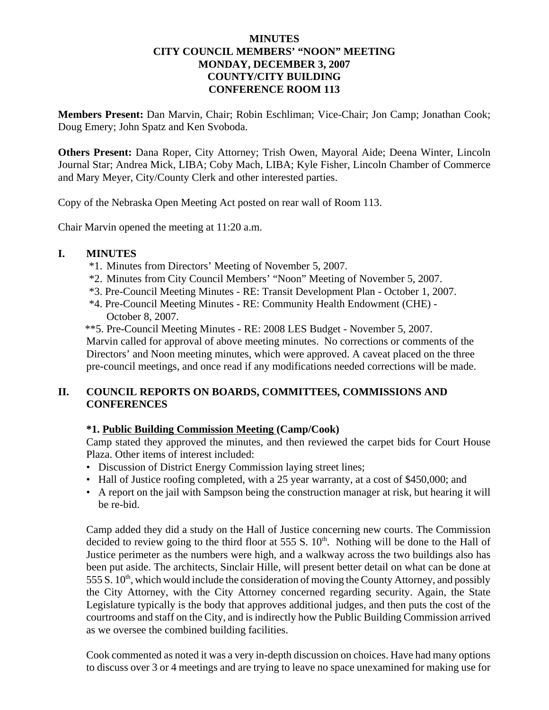#### **MINUTES CITY COUNCIL MEMBERS' "NOON" MEETING MONDAY, DECEMBER 3, 2007 COUNTY/CITY BUILDING CONFERENCE ROOM 113**

**Members Present:** Dan Marvin, Chair; Robin Eschliman; Vice-Chair; Jon Camp; Jonathan Cook; Doug Emery; John Spatz and Ken Svoboda.

**Others Present:** Dana Roper, City Attorney; Trish Owen, Mayoral Aide; Deena Winter, Lincoln Journal Star; Andrea Mick, LIBA; Coby Mach, LIBA; Kyle Fisher, Lincoln Chamber of Commerce and Mary Meyer, City/County Clerk and other interested parties.

Copy of the Nebraska Open Meeting Act posted on rear wall of Room 113.

Chair Marvin opened the meeting at 11:20 a.m.

#### **I. MINUTES**

- \*1. Minutes from Directors' Meeting of November 5, 2007.
- \*2. Minutes from City Council Members' "Noon" Meeting of November 5, 2007.
- \*3. Pre-Council Meeting Minutes RE: Transit Development Plan October 1, 2007.
- \*4. Pre-Council Meeting Minutes RE: Community Health Endowment (CHE) October 8, 2007.
- \*\*5. Pre-Council Meeting Minutes RE: 2008 LES Budget November 5, 2007.

 Marvin called for approval of above meeting minutes. No corrections or comments of the Directors' and Noon meeting minutes, which were approved. A caveat placed on the three pre-council meetings, and once read if any modifications needed corrections will be made.

## **II. COUNCIL REPORTS ON BOARDS, COMMITTEES, COMMISSIONS AND CONFERENCES**

#### **\*1. Public Building Commission Meeting (Camp/Cook)**

Camp stated they approved the minutes, and then reviewed the carpet bids for Court House Plaza. Other items of interest included:

- Discussion of District Energy Commission laying street lines;
- Hall of Justice roofing completed, with a 25 year warranty, at a cost of \$450,000; and
- A report on the jail with Sampson being the construction manager at risk, but hearing it will be re-bid.

Camp added they did a study on the Hall of Justice concerning new courts. The Commission decided to review going to the third floor at 555 S.  $10<sup>th</sup>$ . Nothing will be done to the Hall of Justice perimeter as the numbers were high, and a walkway across the two buildings also has been put aside. The architects, Sinclair Hille, will present better detail on what can be done at  $555 S. 10<sup>th</sup>$ , which would include the consideration of moving the County Attorney, and possibly the City Attorney, with the City Attorney concerned regarding security. Again, the State Legislature typically is the body that approves additional judges, and then puts the cost of the courtrooms and staff on the City, and is indirectly how the Public Building Commission arrived as we oversee the combined building facilities.

Cook commented as noted it was a very in-depth discussion on choices. Have had many options to discuss over 3 or 4 meetings and are trying to leave no space unexamined for making use for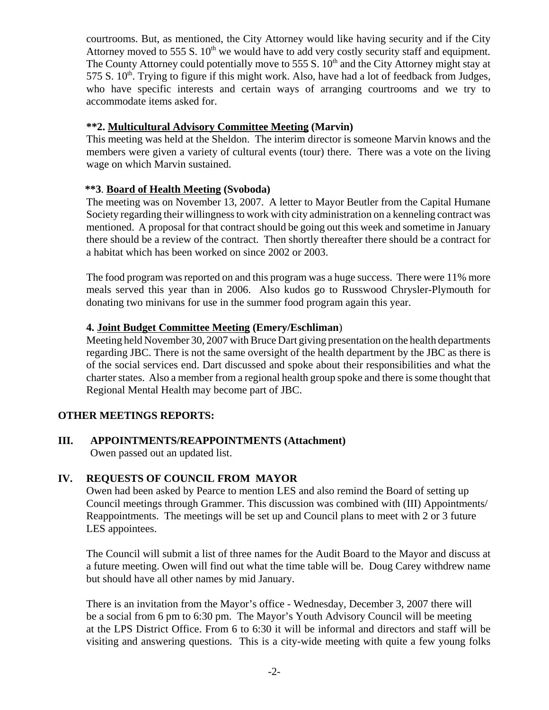courtrooms. But, as mentioned, the City Attorney would like having security and if the City Attorney moved to 555 S.  $10<sup>th</sup>$  we would have to add very costly security staff and equipment. The County Attorney could potentially move to 555 S.  $10<sup>th</sup>$  and the City Attorney might stay at 575 S.  $10^{th}$ . Trying to figure if this might work. Also, have had a lot of feedback from Judges, who have specific interests and certain ways of arranging courtrooms and we try to accommodate items asked for.

## **\*\*2. Multicultural Advisory Committee Meeting (Marvin)**

This meeting was held at the Sheldon. The interim director is someone Marvin knows and the members were given a variety of cultural events (tour) there. There was a vote on the living wage on which Marvin sustained.

# **\*\*3**. **Board of Health Meeting (Svoboda)**

The meeting was on November 13, 2007. A letter to Mayor Beutler from the Capital Humane Society regarding their willingness to work with city administration on a kenneling contract was mentioned. A proposal for that contract should be going out this week and sometime in January there should be a review of the contract. Then shortly thereafter there should be a contract for a habitat which has been worked on since 2002 or 2003.

The food program was reported on and this program was a huge success. There were 11% more meals served this year than in 2006. Also kudos go to Russwood Chrysler-Plymouth for donating two minivans for use in the summer food program again this year.

# **4. Joint Budget Committee Meeting (Emery/Eschliman**)

Meeting held November 30, 2007 with Bruce Dart giving presentation on the health departments regarding JBC. There is not the same oversight of the health department by the JBC as there is of the social services end. Dart discussed and spoke about their responsibilities and what the charter states. Also a member from a regional health group spoke and there is some thought that Regional Mental Health may become part of JBC.

# **OTHER MEETINGS REPORTS:**

**III. APPOINTMENTS/REAPPOINTMENTS (Attachment)**  Owen passed out an updated list.

# **IV. REQUESTS OF COUNCIL FROM MAYOR**

Owen had been asked by Pearce to mention LES and also remind the Board of setting up Council meetings through Grammer. This discussion was combined with (III) Appointments/ Reappointments. The meetings will be set up and Council plans to meet with 2 or 3 future LES appointees.

The Council will submit a list of three names for the Audit Board to the Mayor and discuss at a future meeting. Owen will find out what the time table will be. Doug Carey withdrew name but should have all other names by mid January.

There is an invitation from the Mayor's office - Wednesday, December 3, 2007 there will be a social from 6 pm to 6:30 pm. The Mayor's Youth Advisory Council will be meeting at the LPS District Office. From 6 to 6:30 it will be informal and directors and staff will be visiting and answering questions. This is a city-wide meeting with quite a few young folks